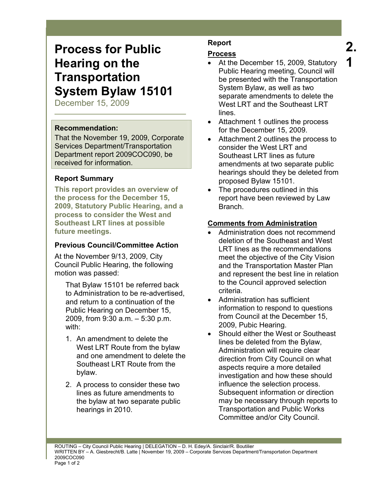# **Process for Public Hearing on the Transportation System Bylaw 15101**

December 15, 2009

## **Recommendation:**

That the November 19, 2009, Corporate Services Department/Transportation Department report 2009COC090, be received for information.

# **Report Summary**

**This report provides an overview of the process for the December 15, 2009, Statutory Public Hearing, and a process to consider the West and Southeast LRT lines at possible future meetings.** 

# **Previous Council/Committee Action**

At the November 9/13, 2009, City Council Public Hearing, the following motion was passed:

That Bylaw 15101 be referred back to Administration to be re-advertised, and return to a continuation of the Public Hearing on December 15, 2009, from 9:30 a.m. – 5:30 p.m. with:

- 1. An amendment to delete the West LRT Route from the bylaw and one amendment to delete the Southeast LRT Route from the bylaw.
- 2. A process to consider these two lines as future amendments to the bylaw at two separate public hearings in 2010.

# **Report**

## **Process**

- At the December 15, 2009, Statutory Public Hearing meeting, Council will be presented with the Transportation System Bylaw, as well as two separate amendments to delete the West LRT and the Southeast LRT lines.
- Attachment 1 outlines the process for the December 15, 2009.
- Attachment 2 outlines the process to consider the West LRT and Southeast LRT lines as future amendments at two separate public hearings should they be deleted from proposed Bylaw 15101.
- The procedures outlined in this report have been reviewed by Law Branch.

## **Comments from Administration**

- Administration does not recommend deletion of the Southeast and West LRT lines as the recommendations meet the objective of the City Vision and the Transportation Master Plan and represent the best line in relation to the Council approved selection criteria.
- Administration has sufficient information to respond to questions from Council at the December 15, 2009, Pubic Hearing.
- Should either the West or Southeast lines be deleted from the Bylaw, Administration will require clear direction from City Council on what aspects require a more detailed investigation and how these should influence the selection process. Subsequent information or direction may be necessary through reports to Transportation and Public Works Committee and/or City Council.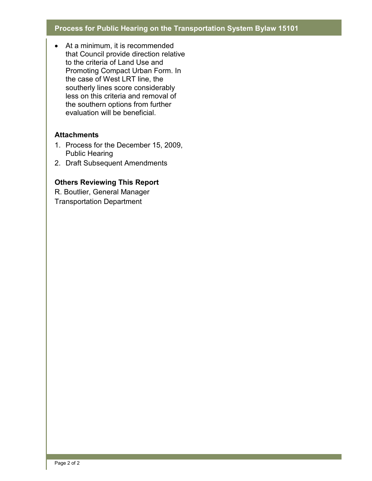# **Process for Public Hearing on the Transportation System Bylaw 15101**

• At a minimum, it is recommended that Council provide direction relative to the criteria of Land Use and Promoting Compact Urban Form. In the case of West LRT line, the southerly lines score considerably less on this criteria and removal of the southern options from further evaluation will be beneficial.

#### **Attachments**

- 1. Process for the December 15, 2009, Public Hearing
- 2. Draft Subsequent Amendments

# **Others Reviewing This Report**

R. Boutlier, General Manager Transportation Department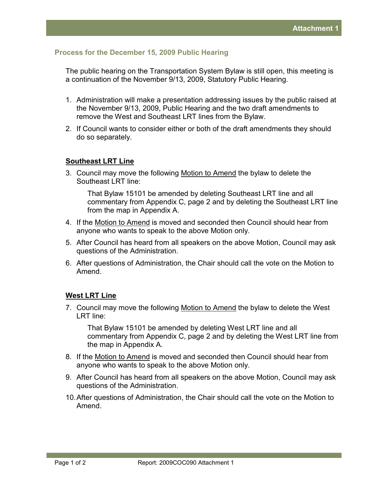## **Process for the December 15, 2009 Public Hearing**

The public hearing on the Transportation System Bylaw is still open, this meeting is a continuation of the November 9/13, 2009, Statutory Public Hearing.

- 1. Administration will make a presentation addressing issues by the public raised at the November 9/13, 2009, Public Hearing and the two draft amendments to remove the West and Southeast LRT lines from the Bylaw.
- 2. If Council wants to consider either or both of the draft amendments they should do so separately.

#### **Southeast LRT Line**

3. Council may move the following Motion to Amend the bylaw to delete the Southeast LRT line:

That Bylaw 15101 be amended by deleting Southeast LRT line and all commentary from Appendix C, page 2 and by deleting the Southeast LRT line from the map in Appendix A.

- 4. If the Motion to Amend is moved and seconded then Council should hear from anyone who wants to speak to the above Motion only.
- 5. After Council has heard from all speakers on the above Motion, Council may ask questions of the Administration.
- 6. After questions of Administration, the Chair should call the vote on the Motion to Amend.

## **West LRT Line**

7. Council may move the following Motion to Amend the bylaw to delete the West LRT line:

That Bylaw 15101 be amended by deleting West LRT line and all commentary from Appendix C, page 2 and by deleting the West LRT line from the map in Appendix A.

- 8. If the Motion to Amend is moved and seconded then Council should hear from anyone who wants to speak to the above Motion only.
- 9. After Council has heard from all speakers on the above Motion, Council may ask questions of the Administration.
- 10. After questions of Administration, the Chair should call the vote on the Motion to Amend.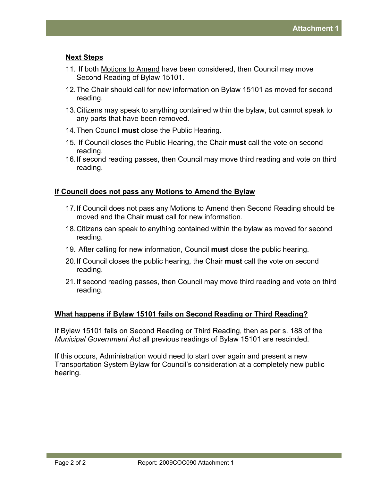## **Next Steps**

- 11. If both Motions to Amend have been considered, then Council may move Second Reading of Bylaw 15101.
- 12. The Chair should call for new information on Bylaw 15101 as moved for second reading.
- 13. Citizens may speak to anything contained within the bylaw, but cannot speak to any parts that have been removed.
- 14. Then Council **must** close the Public Hearing.
- 15. If Council closes the Public Hearing, the Chair **must** call the vote on second reading.
- 16. If second reading passes, then Council may move third reading and vote on third reading.

## **If Council does not pass any Motions to Amend the Bylaw**

- 17. If Council does not pass any Motions to Amend then Second Reading should be moved and the Chair **must** call for new information.
- 18. Citizens can speak to anything contained within the bylaw as moved for second reading.
- 19. After calling for new information, Council **must** close the public hearing.
- 20. If Council closes the public hearing, the Chair **must** call the vote on second reading.
- 21. If second reading passes, then Council may move third reading and vote on third reading.

## **What happens if Bylaw 15101 fails on Second Reading or Third Reading?**

If Bylaw 15101 fails on Second Reading or Third Reading, then as per s. 188 of the *Municipal Government Act* all previous readings of Bylaw 15101 are rescinded.

If this occurs, Administration would need to start over again and present a new Transportation System Bylaw for Council's consideration at a completely new public hearing.